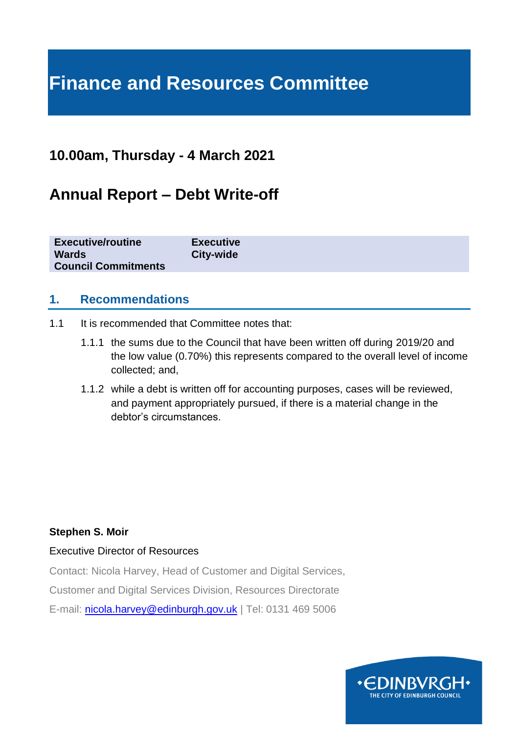# **Finance and Resources Committee**

## **10.00am, Thursday - 4 March 2021**

## **Annual Report – Debt Write-off**

| <b>Executive/routine</b>   | <b>Executive</b> |
|----------------------------|------------------|
| <b>Wards</b>               | <b>City-wide</b> |
| <b>Council Commitments</b> |                  |

## **1. Recommendations**

- 1.1 It is recommended that Committee notes that:
	- 1.1.1 the sums due to the Council that have been written off during 2019/20 and the low value (0.70%) this represents compared to the overall level of income collected; and,
	- 1.1.2 while a debt is written off for accounting purposes, cases will be reviewed, and payment appropriately pursued, if there is a material change in the debtor's circumstances.

#### **Stephen S. Moir**

#### Executive Director of Resources

Contact: Nicola Harvey, Head of Customer and Digital Services,

Customer and Digital Services Division, Resources Directorate

E-mail: [nicola.harvey@edinburgh.gov.uk](mailto:nicola.harvey@edinburgh.gov.uk) | Tel: 0131 469 5006

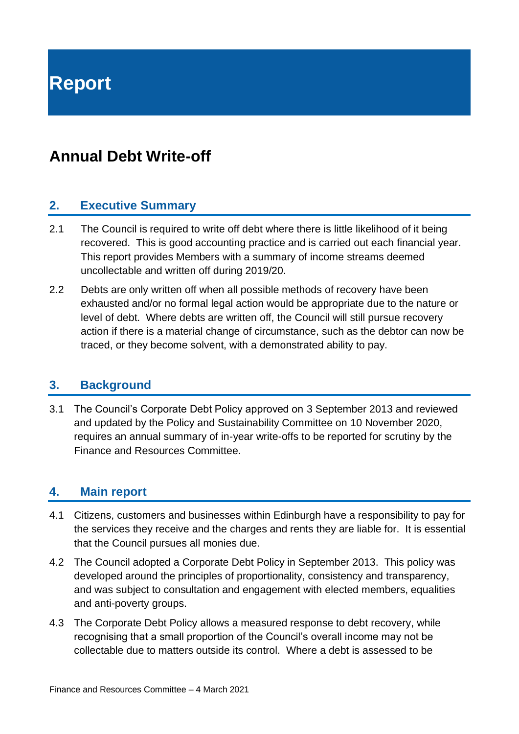**Report**

## **Annual Debt Write-off**

## **2. Executive Summary**

- 2.1 The Council is required to write off debt where there is little likelihood of it being recovered. This is good accounting practice and is carried out each financial year. This report provides Members with a summary of income streams deemed uncollectable and written off during 2019/20.
- 2.2 Debts are only written off when all possible methods of recovery have been exhausted and/or no formal legal action would be appropriate due to the nature or level of debt. Where debts are written off, the Council will still pursue recovery action if there is a material change of circumstance, such as the debtor can now be traced, or they become solvent, with a demonstrated ability to pay.

#### **3. Background**

3.1 The Council's Corporate Debt Policy approved on 3 September 2013 and reviewed and updated by the Policy and Sustainability Committee on 10 November 2020, requires an annual summary of in-year write-offs to be reported for scrutiny by the Finance and Resources Committee.

## **4. Main report**

- 4.1 Citizens, customers and businesses within Edinburgh have a responsibility to pay for the services they receive and the charges and rents they are liable for. It is essential that the Council pursues all monies due.
- 4.2 The Council adopted a Corporate Debt Policy in September 2013. This policy was developed around the principles of proportionality, consistency and transparency, and was subject to consultation and engagement with elected members, equalities and anti-poverty groups.
- 4.3 The Corporate Debt Policy allows a measured response to debt recovery, while recognising that a small proportion of the Council's overall income may not be collectable due to matters outside its control. Where a debt is assessed to be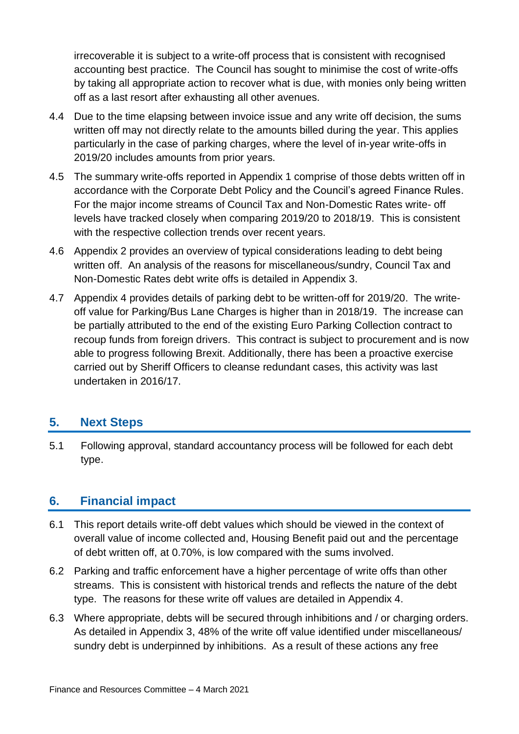irrecoverable it is subject to a write-off process that is consistent with recognised accounting best practice. The Council has sought to minimise the cost of write-offs by taking all appropriate action to recover what is due, with monies only being written off as a last resort after exhausting all other avenues.

- 4.4 Due to the time elapsing between invoice issue and any write off decision, the sums written off may not directly relate to the amounts billed during the year. This applies particularly in the case of parking charges, where the level of in-year write-offs in 2019/20 includes amounts from prior years.
- 4.5 The summary write-offs reported in Appendix 1 comprise of those debts written off in accordance with the Corporate Debt Policy and the Council's agreed Finance Rules. For the major income streams of Council Tax and Non-Domestic Rates write- off levels have tracked closely when comparing 2019/20 to 2018/19. This is consistent with the respective collection trends over recent years.
- 4.6 Appendix 2 provides an overview of typical considerations leading to debt being written off. An analysis of the reasons for miscellaneous/sundry, Council Tax and Non-Domestic Rates debt write offs is detailed in Appendix 3.
- 4.7 Appendix 4 provides details of parking debt to be written-off for 2019/20. The writeoff value for Parking/Bus Lane Charges is higher than in 2018/19. The increase can be partially attributed to the end of the existing Euro Parking Collection contract to recoup funds from foreign drivers. This contract is subject to procurement and is now able to progress following Brexit. Additionally, there has been a proactive exercise carried out by Sheriff Officers to cleanse redundant cases, this activity was last undertaken in 2016/17.

## **5. Next Steps**

5.1 Following approval, standard accountancy process will be followed for each debt type.

## **6. Financial impact**

- 6.1 This report details write-off debt values which should be viewed in the context of overall value of income collected and, Housing Benefit paid out and the percentage of debt written off, at 0.70%, is low compared with the sums involved.
- 6.2 Parking and traffic enforcement have a higher percentage of write offs than other streams. This is consistent with historical trends and reflects the nature of the debt type. The reasons for these write off values are detailed in Appendix 4.
- 6.3 Where appropriate, debts will be secured through inhibitions and / or charging orders. As detailed in Appendix 3, 48% of the write off value identified under miscellaneous/ sundry debt is underpinned by inhibitions. As a result of these actions any free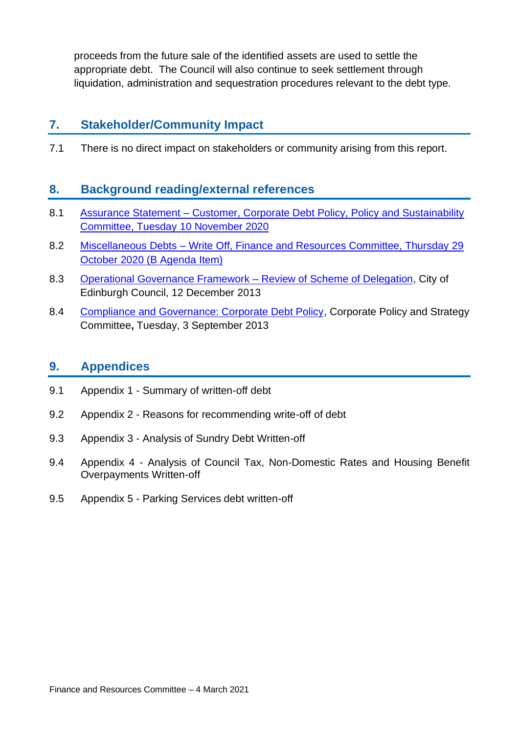proceeds from the future sale of the identified assets are used to settle the appropriate debt. The Council will also continue to seek settlement through liquidation, administration and sequestration procedures relevant to the debt type.

## **7. Stakeholder/Community Impact**

7.1 There is no direct impact on stakeholders or community arising from this report.

### **8. Background reading/external references**

- 8.1 Assurance Statement Customer, Corporate Debt Policy, Policy and Sustainability [Committee, Tuesday 10](https://democracy.edinburgh.gov.uk/ieListDocuments.aspx?CId=135&MId=5672&Ver=4) November 2020
- 8.2 Miscellaneous Debts [Write Off, Finance and Resources Committee, Thursday 29](https://democracy.edinburgh.gov.uk/ieListDocuments.aspx?CId=140&MId=5562&Ver=4) October 2020 [\(B Agenda Item\)](https://democracy.edinburgh.gov.uk/ieListDocuments.aspx?CId=140&MId=5562&Ver=4)
- 8.3 [Operational Governance Framework –](http://www.edinburgh.gov.uk/download/meetings/id/41679/item_no_82a_-_operational_governance_framework_-_review_of_scheme_of_delegation) Review of Scheme of Delegation, City of Edinburgh Council, 12 December 2013
- 8.4 [Compliance and Governance: Corporate Debt Policy,](http://www.edinburgh.gov.uk/download/meetings/id/40355/item_no_73_-_compliance_risk_and_governance_-_corporate_debt_policy) Corporate Policy and Strategy Committee**,** Tuesday, 3 September 2013

### **9. Appendices**

- 9.1 Appendix 1 Summary of written-off debt
- 9.2 Appendix 2 Reasons for recommending write-off of debt
- 9.3 Appendix 3 Analysis of Sundry Debt Written-off
- 9.4 Appendix 4 Analysis of Council Tax, Non-Domestic Rates and Housing Benefit Overpayments Written-off
- 9.5 Appendix 5 Parking Services debt written-off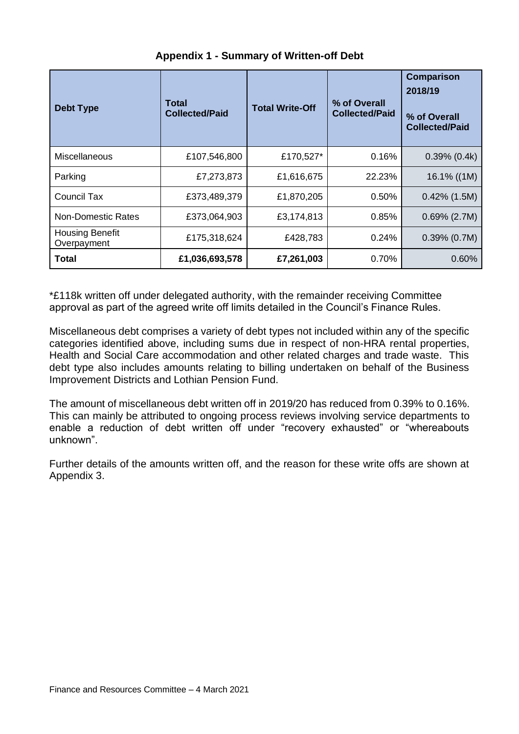| <b>Debt Type</b>                      | Total<br><b>Collected/Paid</b> | <b>Total Write-Off</b> | % of Overall<br><b>Collected/Paid</b> | <b>Comparison</b><br>2018/19<br>% of Overall<br><b>Collected/Paid</b> |  |  |  |
|---------------------------------------|--------------------------------|------------------------|---------------------------------------|-----------------------------------------------------------------------|--|--|--|
| Miscellaneous                         | £107,546,800                   | £170,527*              | 0.16%                                 | $0.39\%$ (0.4k)                                                       |  |  |  |
| Parking                               | £7,273,873                     | £1,616,675             | 22.23%                                | 16.1% ((1M)                                                           |  |  |  |
| Council Tax                           | £373,489,379                   | £1,870,205             | 0.50%                                 | $0.42\%$ (1.5M)                                                       |  |  |  |
| Non-Domestic Rates                    | £373,064,903                   | £3,174,813             | 0.85%                                 | $0.69\%$ (2.7M)                                                       |  |  |  |
| <b>Housing Benefit</b><br>Overpayment | £175,318,624                   | £428,783               | 0.24%                                 | $0.39\%$ (0.7M)                                                       |  |  |  |
| Total                                 | £1,036,693,578                 | £7,261,003             | 0.70%                                 | 0.60%                                                                 |  |  |  |

## **Appendix 1 - Summary of Written-off Debt**

\*£118k written off under delegated authority, with the remainder receiving Committee approval as part of the agreed write off limits detailed in the Council's Finance Rules.

Miscellaneous debt comprises a variety of debt types not included within any of the specific categories identified above, including sums due in respect of non-HRA rental properties, Health and Social Care accommodation and other related charges and trade waste. This debt type also includes amounts relating to billing undertaken on behalf of the Business Improvement Districts and Lothian Pension Fund.

The amount of miscellaneous debt written off in 2019/20 has reduced from 0.39% to 0.16%. This can mainly be attributed to ongoing process reviews involving service departments to enable a reduction of debt written off under "recovery exhausted" or "whereabouts unknown".

Further details of the amounts written off, and the reason for these write offs are shown at Appendix 3.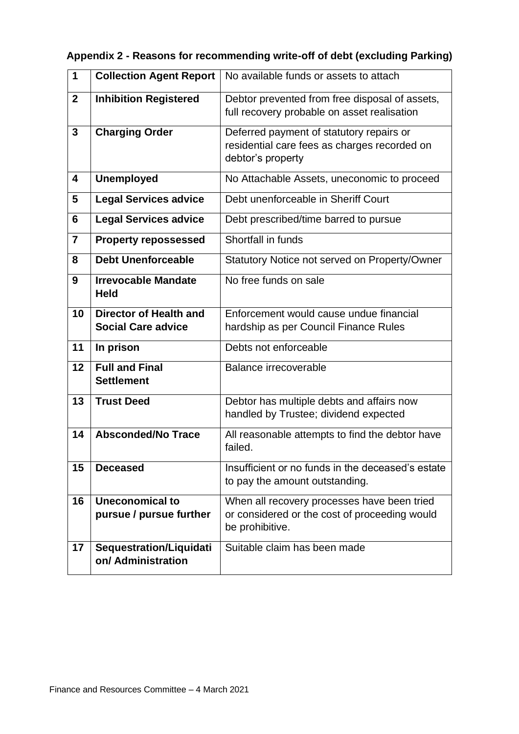| 1                       | <b>Collection Agent Report</b>                      | No available funds or assets to attach                                                                          |
|-------------------------|-----------------------------------------------------|-----------------------------------------------------------------------------------------------------------------|
| $\mathbf{2}$            | <b>Inhibition Registered</b>                        | Debtor prevented from free disposal of assets,<br>full recovery probable on asset realisation                   |
| 3                       | <b>Charging Order</b>                               | Deferred payment of statutory repairs or<br>residential care fees as charges recorded on<br>debtor's property   |
| $\overline{\mathbf{4}}$ | <b>Unemployed</b>                                   | No Attachable Assets, uneconomic to proceed                                                                     |
| 5                       | <b>Legal Services advice</b>                        | Debt unenforceable in Sheriff Court                                                                             |
| 6                       | <b>Legal Services advice</b>                        | Debt prescribed/time barred to pursue                                                                           |
| $\overline{7}$          | <b>Property repossessed</b>                         | Shortfall in funds                                                                                              |
| 8                       | <b>Debt Unenforceable</b>                           | Statutory Notice not served on Property/Owner                                                                   |
| 9                       | <b>Irrevocable Mandate</b><br><b>Held</b>           | No free funds on sale                                                                                           |
| 10                      | Director of Health and<br><b>Social Care advice</b> | Enforcement would cause undue financial<br>hardship as per Council Finance Rules                                |
| 11                      | In prison                                           | Debts not enforceable                                                                                           |
| 12                      | <b>Full and Final</b><br><b>Settlement</b>          | Balance irrecoverable                                                                                           |
| 13                      | <b>Trust Deed</b>                                   | Debtor has multiple debts and affairs now<br>handled by Trustee; dividend expected                              |
| 14                      | <b>Absconded/No Trace</b>                           | All reasonable attempts to find the debtor have<br>failed.                                                      |
| 15                      | <b>Deceased</b>                                     | Insufficient or no funds in the deceased's estate<br>to pay the amount outstanding.                             |
| 16                      | <b>Uneconomical to</b><br>pursue / pursue further   | When all recovery processes have been tried<br>or considered or the cost of proceeding would<br>be prohibitive. |
| 17                      | Sequestration/Liquidati<br>on/ Administration       | Suitable claim has been made                                                                                    |

| Appendix 2 - Reasons for recommending write-off of debt (excluding Parking) |
|-----------------------------------------------------------------------------|
|-----------------------------------------------------------------------------|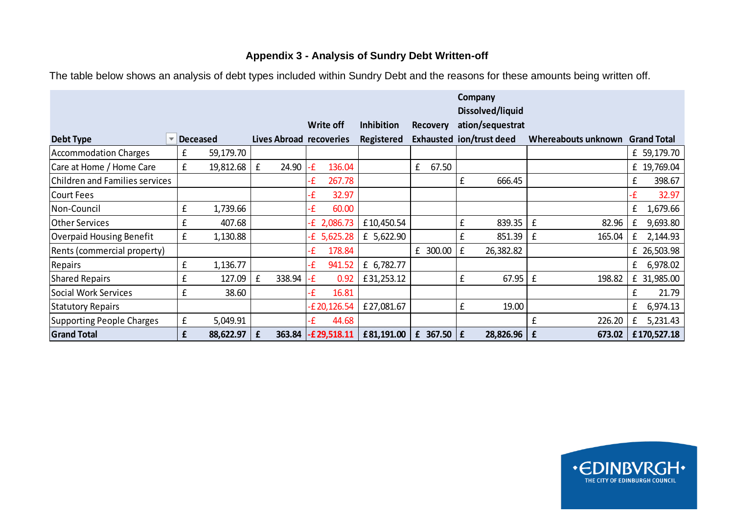### **Appendix 3 - Analysis of Sundry Debt Written-off**

|                                 |   |                 |   |                         |    |                  |                   |   |                 |   | Company<br>Dissolved/liquid |                                 |    |             |
|---------------------------------|---|-----------------|---|-------------------------|----|------------------|-------------------|---|-----------------|---|-----------------------------|---------------------------------|----|-------------|
|                                 |   |                 |   |                         |    | <b>Write off</b> | <b>Inhibition</b> |   | <b>Recovery</b> |   | ation/sequestrat            |                                 |    |             |
| Debt Type                       |   | <b>Deceased</b> |   | Lives Abroad recoveries |    |                  | Registered        |   |                 |   | Exhausted ion/trust deed    | Whereabouts unknown Grand Total |    |             |
| Accommodation Charges           | £ | 59,179.70       |   |                         |    |                  |                   |   |                 |   |                             |                                 |    | £ 59,179.70 |
| Care at Home / Home Care        | £ | 19,812.68       | £ | 24.90                   | £  | 136.04           |                   | £ | 67.50           |   |                             |                                 |    | £ 19,769.04 |
| Children and Families services  |   |                 |   |                         | £  | 267.78           |                   |   |                 | £ | 666.45                      |                                 | £  | 398.67      |
| Court Fees                      |   |                 |   |                         | £  | 32.97            |                   |   |                 |   |                             |                                 | ٠£ | 32.97       |
| Non-Council                     | £ | 1,739.66        |   |                         | £  | 60.00            |                   |   |                 |   |                             |                                 | £  | 1,679.66    |
| <b>Other Services</b>           | £ | 407.68          |   |                         |    | $E$ 2,086.73     | £10,450.54        |   |                 | £ | 839.35                      | £<br>82.96                      | £  | 9,693.80    |
| <b>Overpaid Housing Benefit</b> | £ | 1,130.88        |   |                         |    | £ 5,625.28       | £ 5,622.90        |   |                 | £ | 851.39                      | £<br>165.04                     | £  | 2,144.93    |
| Rents (commercial property)     |   |                 |   |                         | ٠£ | 178.84           |                   |   | £ 300.00        | £ | 26,382.82                   |                                 |    | £ 26,503.98 |
| Repairs                         | £ | 1,136.77        |   |                         | £  | 941.52           | £ 6,782.77        |   |                 |   |                             |                                 | £  | 6,978.02    |
| <b>Shared Repairs</b>           | £ | 127.09          | £ | 338.94                  | £  | 0.92             | £31,253.12        |   |                 | £ | 67.95                       | £<br>198.82                     |    | £ 31,985.00 |
| Social Work Services            | £ | 38.60           |   |                         | £  | 16.81            |                   |   |                 |   |                             |                                 | £  | 21.79       |
| <b>Statutory Repairs</b>        |   |                 |   |                         |    | £20,126.54       | £27,081.67        |   |                 | £ | 19.00                       |                                 | £  | 6,974.13    |
| Supporting People Charges       | £ | 5,049.91        |   |                         |    | 44.68            |                   |   |                 |   |                             | £<br>226.20                     | £  | 5,231.43    |
| <b>Grand Total</b>              | £ | 88,622.97       | £ | 363.84                  |    | $-E29,518.11$    | £81,191.00        |   | £ 367.50 $E$    |   | 28,826.96                   | £<br>673.02                     |    | £170,527.18 |
|                                 |   |                 |   |                         |    |                  |                   |   |                 |   |                             |                                 |    |             |

The table below shows an analysis of debt types included within Sundry Debt and the reasons for these amounts being written off.

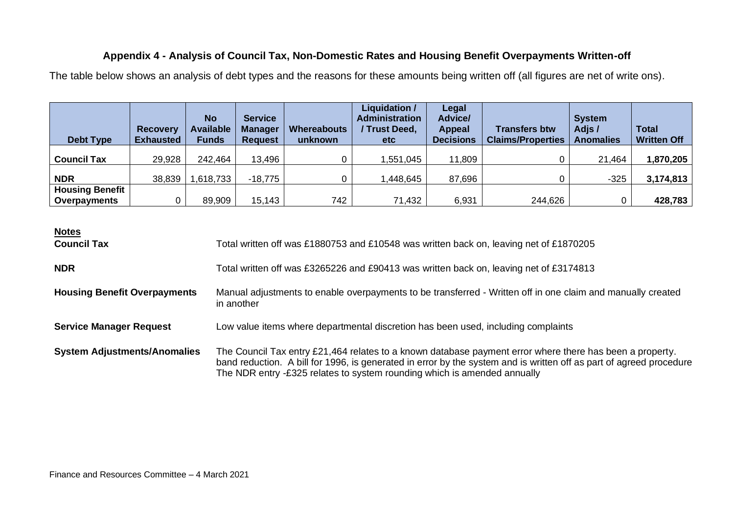## **Appendix 4 - Analysis of Council Tax, Non-Domestic Rates and Housing Benefit Overpayments Written-off**

The table below shows an analysis of debt types and the reasons for these amounts being written off (all figures are net of write ons).

| <b>Debt Type</b>                       | <b>Recovery</b><br><b>Exhausted</b> | <b>No</b><br><b>Available</b><br><b>Funds</b> | <b>Service</b><br><b>Manager</b><br><b>Request</b> | <b>Whereabouts</b><br>unknown | Liquidation /<br><b>Administration</b><br>Trust Deed,<br>etc | Legal<br><b>Advice/</b><br>Appeal<br><b>Decisions</b> | <b>Transfers btw</b><br><b>Claims/Properties</b> | <b>System</b><br>Adjs /<br><b>Anomalies</b> | <b>Total</b><br><b>Written Off</b> |
|----------------------------------------|-------------------------------------|-----------------------------------------------|----------------------------------------------------|-------------------------------|--------------------------------------------------------------|-------------------------------------------------------|--------------------------------------------------|---------------------------------------------|------------------------------------|
| <b>Council Tax</b>                     | 29,928                              | 242,464                                       | 13,496                                             |                               | 1,551,045                                                    | 11,809                                                |                                                  | 21,464                                      | 1,870,205                          |
| <b>NDR</b>                             | 38,839                              | 618,733                                       | $-18,775$                                          |                               | 448,645, ا                                                   | 87,696                                                |                                                  | $-325$                                      | 3,174,813                          |
| <b>Housing Benefit</b><br>Overpayments |                                     | 89,909                                        | 15,143                                             | 742                           | 71,432                                                       | 6,931                                                 | 244,626                                          |                                             | 428,783                            |

**Notes**

| <b>Council Tax</b>                  | Total written off was £1880753 and £10548 was written back on, leaving net of £1870205                                                                                                                                                                                                                        |
|-------------------------------------|---------------------------------------------------------------------------------------------------------------------------------------------------------------------------------------------------------------------------------------------------------------------------------------------------------------|
| <b>NDR</b>                          | Total written off was £3265226 and £90413 was written back on, leaving net of £3174813                                                                                                                                                                                                                        |
| <b>Housing Benefit Overpayments</b> | Manual adjustments to enable overpayments to be transferred - Written off in one claim and manually created<br>in another                                                                                                                                                                                     |
| <b>Service Manager Request</b>      | Low value items where departmental discretion has been used, including complaints                                                                                                                                                                                                                             |
| <b>System Adjustments/Anomalies</b> | The Council Tax entry £21,464 relates to a known database payment error where there has been a property.<br>band reduction. A bill for 1996, is generated in error by the system and is written off as part of agreed procedure<br>The NDR entry $-E325$ relates to system rounding which is amended annually |